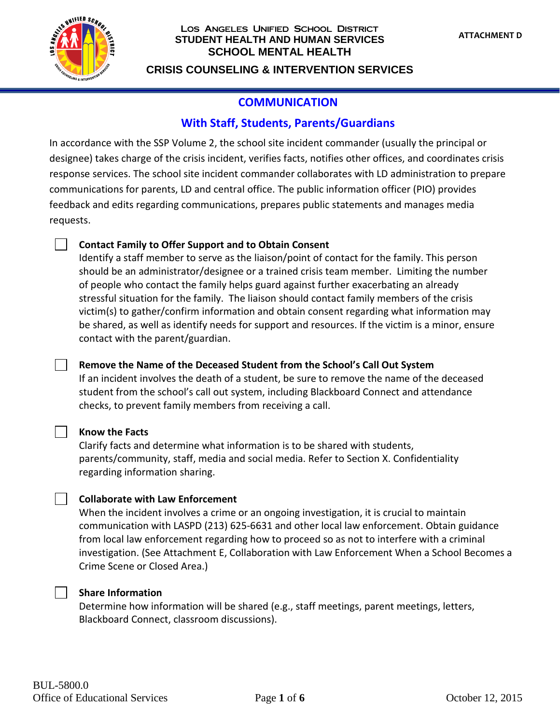

#### Los Angeles Unified School District **STUDENT HEALTH AND HUMAN SERVICES SCHOOL MENTAL HEALTH**

**CRISIS COUNSELING & INTERVENTION SERVICES**

# **COMMUNICATION**

# **With Staff, Students, Parents/Guardians**

In accordance with the SSP Volume 2, the school site incident commander (usually the principal or designee) takes charge of the crisis incident, verifies facts, notifies other offices, and coordinates crisis response services. The school site incident commander collaborates with LD administration to prepare communications for parents, LD and central office. The public information officer (PIO) provides feedback and edits regarding communications, prepares public statements and manages media requests.

## **Contact Family to Offer Support and to Obtain Consent**

Identify a staff member to serve as the liaison/point of contact for the family. This person should be an administrator/designee or a trained crisis team member. Limiting the number of people who contact the family helps guard against further exacerbating an already stressful situation for the family. The liaison should contact family members of the crisis victim(s) to gather/confirm information and obtain consent regarding what information may be shared, as well as identify needs for support and resources. If the victim is a minor, ensure contact with the parent/guardian.

## **Remove the Name of the Deceased Student from the School's Call Out System**

If an incident involves the death of a student, be sure to remove the name of the deceased student from the school's call out system, including Blackboard Connect and attendance checks, to prevent family members from receiving a call.

### **Know the Facts**

Clarify facts and determine what information is to be shared with students, parents/community, staff, media and social media. Refer to Section X. Confidentiality regarding information sharing.

## **Collaborate with Law Enforcement**

When the incident involves a crime or an ongoing investigation, it is crucial to maintain communication with LASPD (213) 625-6631 and other local law enforcement. Obtain guidance from local law enforcement regarding how to proceed so as not to interfere with a criminal investigation. (See Attachment E, Collaboration with Law Enforcement When a School Becomes a Crime Scene or Closed Area.)

### **Share Information**

Determine how information will be shared (e.g., staff meetings, parent meetings, letters, Blackboard Connect, classroom discussions).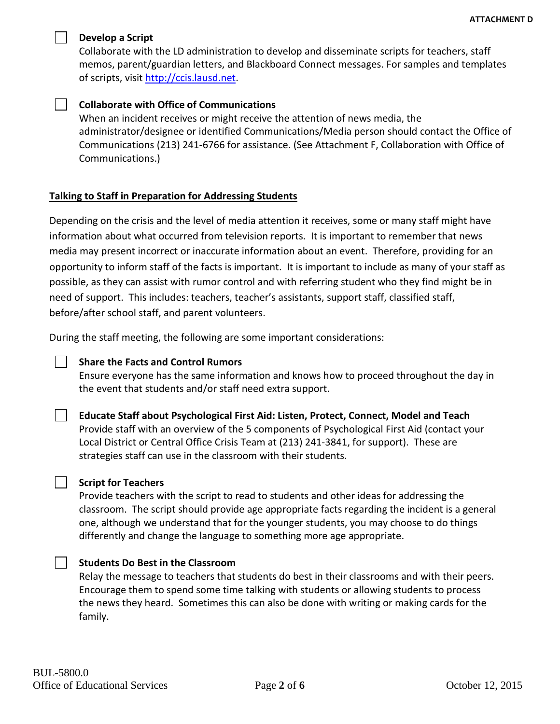

#### **Develop a Script**

Collaborate with the LD administration to develop and disseminate scripts for teachers, staff memos, parent/guardian letters, and Blackboard Connect messages. For samples and templates of scripts, visit [http://ccis.lausd.net.](http://ccis.lausd.net/)

### **Collaborate with Office of Communications**

When an incident receives or might receive the attention of news media, the administrator/designee or identified Communications/Media person should contact the Office of Communications (213) 241-6766 for assistance. (See Attachment F, Collaboration with Office of Communications.)

### **Talking to Staff in Preparation for Addressing Students**

Depending on the crisis and the level of media attention it receives, some or many staff might have information about what occurred from television reports. It is important to remember that news media may present incorrect or inaccurate information about an event. Therefore, providing for an opportunity to inform staff of the facts is important. It is important to include as many of your staff as possible, as they can assist with rumor control and with referring student who they find might be in need of support. This includes: teachers, teacher's assistants, support staff, classified staff, before/after school staff, and parent volunteers.

During the staff meeting, the following are some important considerations:

### **Share the Facts and Control Rumors**

Ensure everyone has the same information and knows how to proceed throughout the day in the event that students and/or staff need extra support.

### **Educate Staff about Psychological First Aid: Listen, Protect, Connect, Model and Teach**

Provide staff with an overview of the 5 components of Psychological First Aid (contact your Local District or Central Office Crisis Team at (213) 241-3841, for support). These are strategies staff can use in the classroom with their students.

### **Script for Teachers**

Provide teachers with the script to read to students and other ideas for addressing the classroom. The script should provide age appropriate facts regarding the incident is a general one, although we understand that for the younger students, you may choose to do things differently and change the language to something more age appropriate.

### **Students Do Best in the Classroom**

Relay the message to teachers that students do best in their classrooms and with their peers. Encourage them to spend some time talking with students or allowing students to process the news they heard. Sometimes this can also be done with writing or making cards for the family.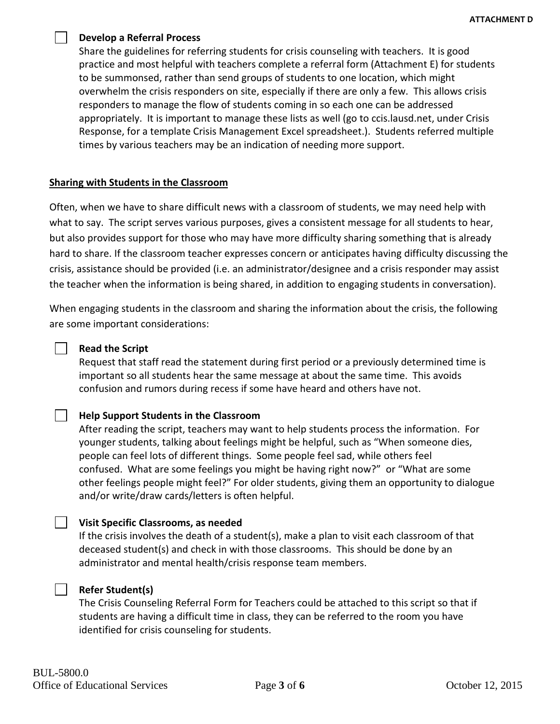#### **Develop a Referral Process**

Share the guidelines for referring students for crisis counseling with teachers. It is good practice and most helpful with teachers complete a referral form (Attachment E) for students to be summonsed, rather than send groups of students to one location, which might overwhelm the crisis responders on site, especially if there are only a few. This allows crisis responders to manage the flow of students coming in so each one can be addressed appropriately. It is important to manage these lists as well (go to ccis.lausd.net, under Crisis Response, for a template Crisis Management Excel spreadsheet.). Students referred multiple times by various teachers may be an indication of needing more support.

### **Sharing with Students in the Classroom**

Often, when we have to share difficult news with a classroom of students, we may need help with what to say. The script serves various purposes, gives a consistent message for all students to hear, but also provides support for those who may have more difficulty sharing something that is already hard to share. If the classroom teacher expresses concern or anticipates having difficulty discussing the crisis, assistance should be provided (i.e. an administrator/designee and a crisis responder may assist the teacher when the information is being shared, in addition to engaging students in conversation).

When engaging students in the classroom and sharing the information about the crisis, the following are some important considerations:

#### **Read the Script**

 $\mathcal{L}^{\text{max}}$ 

 $\Box$ 

Request that staff read the statement during first period or a previously determined time is important so all students hear the same message at about the same time. This avoids confusion and rumors during recess if some have heard and others have not.

### **Help Support Students in the Classroom**

After reading the script, teachers may want to help students process the information. For younger students, talking about feelings might be helpful, such as "When someone dies, people can feel lots of different things. Some people feel sad, while others feel confused. What are some feelings you might be having right now?" or "What are some other feelings people might feel?" For older students, giving them an opportunity to dialogue and/or write/draw cards/letters is often helpful.

#### **Visit Specific Classrooms, as needed**

If the crisis involves the death of a student(s), make a plan to visit each classroom of that deceased student(s) and check in with those classrooms. This should be done by an administrator and mental health/crisis response team members.

#### **Refer Student(s)**

The Crisis Counseling Referral Form for Teachers could be attached to this script so that if students are having a difficult time in class, they can be referred to the room you have identified for crisis counseling for students.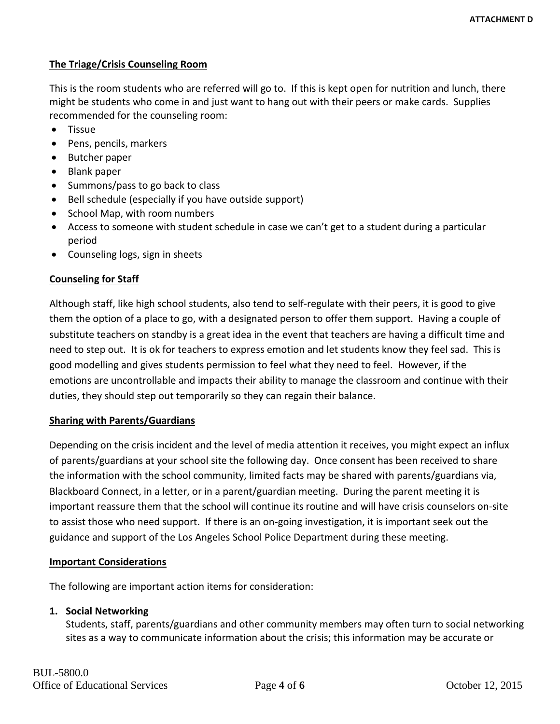## **The Triage/Crisis Counseling Room**

This is the room students who are referred will go to. If this is kept open for nutrition and lunch, there might be students who come in and just want to hang out with their peers or make cards. Supplies recommended for the counseling room:

- Tissue
- Pens, pencils, markers
- Butcher paper
- Blank paper
- Summons/pass to go back to class
- Bell schedule (especially if you have outside support)
- School Map, with room numbers
- Access to someone with student schedule in case we can't get to a student during a particular period
- Counseling logs, sign in sheets

### **Counseling for Staff**

Although staff, like high school students, also tend to self-regulate with their peers, it is good to give them the option of a place to go, with a designated person to offer them support. Having a couple of substitute teachers on standby is a great idea in the event that teachers are having a difficult time and need to step out. It is ok for teachers to express emotion and let students know they feel sad. This is good modelling and gives students permission to feel what they need to feel. However, if the emotions are uncontrollable and impacts their ability to manage the classroom and continue with their duties, they should step out temporarily so they can regain their balance.

### **Sharing with Parents/Guardians**

Depending on the crisis incident and the level of media attention it receives, you might expect an influx of parents/guardians at your school site the following day. Once consent has been received to share the information with the school community, limited facts may be shared with parents/guardians via, Blackboard Connect, in a letter, or in a parent/guardian meeting. During the parent meeting it is important reassure them that the school will continue its routine and will have crisis counselors on-site to assist those who need support. If there is an on-going investigation, it is important seek out the guidance and support of the Los Angeles School Police Department during these meeting.

### **Important Considerations**

The following are important action items for consideration:

### **1. Social Networking**

Students, staff, parents/guardians and other community members may often turn to social networking sites as a way to communicate information about the crisis; this information may be accurate or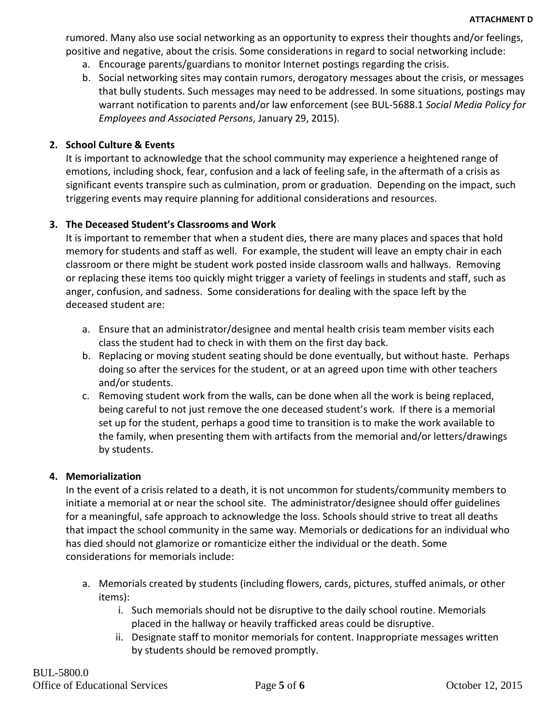rumored. Many also use social networking as an opportunity to express their thoughts and/or feelings, positive and negative, about the crisis. Some considerations in regard to social networking include:

- a. Encourage parents/guardians to monitor Internet postings regarding the crisis.
- b. Social networking sites may contain rumors, derogatory messages about the crisis, or messages that bully students. Such messages may need to be addressed. In some situations, postings may warrant notification to parents and/or law enforcement (see BUL-5688.1 *Social Media Policy for Employees and Associated Persons*, January 29, 2015).

### **2. School Culture & Events**

It is important to acknowledge that the school community may experience a heightened range of emotions, including shock, fear, confusion and a lack of feeling safe, in the aftermath of a crisis as significant events transpire such as culmination, prom or graduation. Depending on the impact, such triggering events may require planning for additional considerations and resources.

### **3. The Deceased Student's Classrooms and Work**

It is important to remember that when a student dies, there are many places and spaces that hold memory for students and staff as well. For example, the student will leave an empty chair in each classroom or there might be student work posted inside classroom walls and hallways. Removing or replacing these items too quickly might trigger a variety of feelings in students and staff, such as anger, confusion, and sadness. Some considerations for dealing with the space left by the deceased student are:

- a. Ensure that an administrator/designee and mental health crisis team member visits each class the student had to check in with them on the first day back.
- b. Replacing or moving student seating should be done eventually, but without haste. Perhaps doing so after the services for the student, or at an agreed upon time with other teachers and/or students.
- c. Removing student work from the walls, can be done when all the work is being replaced, being careful to not just remove the one deceased student's work. If there is a memorial set up for the student, perhaps a good time to transition is to make the work available to the family, when presenting them with artifacts from the memorial and/or letters/drawings by students.

### **4. Memorialization**

In the event of a crisis related to a death, it is not uncommon for students/community members to initiate a memorial at or near the school site. The administrator/designee should offer guidelines for a meaningful, safe approach to acknowledge the loss. Schools should strive to treat all deaths that impact the school community in the same way. Memorials or dedications for an individual who has died should not glamorize or romanticize either the individual or the death. Some considerations for memorials include:

- a. Memorials created by students (including flowers, cards, pictures, stuffed animals, or other items):
	- i. Such memorials should not be disruptive to the daily school routine. Memorials placed in the hallway or heavily trafficked areas could be disruptive.
	- ii. Designate staff to monitor memorials for content. Inappropriate messages written by students should be removed promptly.